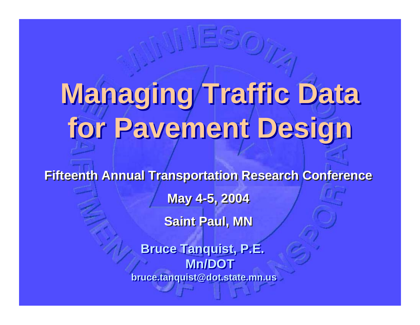## **Managing Traffic Data Managing Traffic Data for Pavement Design for Pavement Design**

**Fifteenth Annual Transportation Research Conference Fifteenth Annual Transportation Research Conference May 4-5, 2004 May 4-5, 2004 Saint Paul, MN Saint Paul, MN**

> **Bruce Tanquist, P.E. Bruce Tanquist, P.E. Mn/DOTMn/DOT bruce.tanquist@dot.state.mn.us bruce.tanquist@dot.state.mn.us**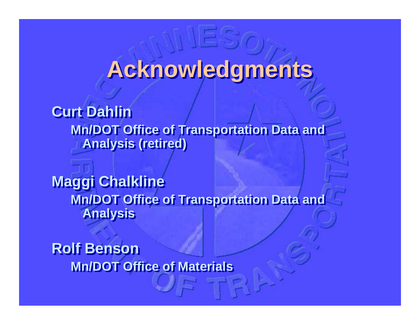## **Acknowledgments Acknowledgments**

**Curt Dahlin Mn/DOT Office of Transportation Data and Mn/DOT Office of Transportation Data and Analysis (retired) Analysis (retired)**

**Maggi Chalkline Maggi Chalkline Mn/DOT Office of Transportation Data and Mn/DOT Office of Transportation Data and Analysis Analysis**

**Rolf BensonRolf Benson Mn/DOT Office of MaterialsMn/DOT Office of Materials**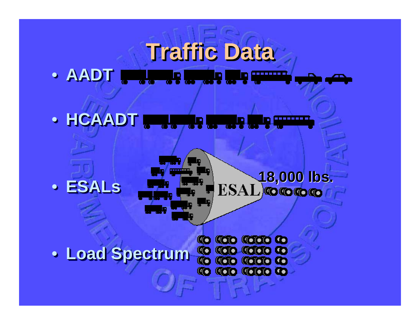#### **Traffic Data Traffic Data Traffic Data** • **AADT** • **AADT** l٩l, , , , , , **, ,** ,

#### • **HCAADT** • **HCAADT** l۵ D





## **18,000 lbs. 18,000 lbs.**

• **Load Spectrum** • **Load Spectrum Load Spectrum**

CO **COD** COOD CO **KOO KOOO CO to too todo to**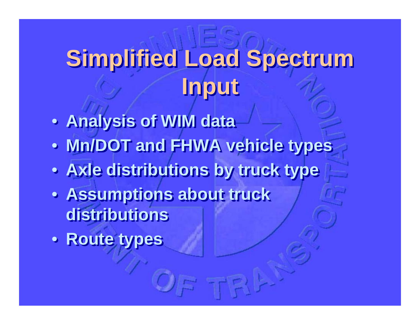## **Simplified Load Spectrum Simplified Load Spectrum Input Input**

- **Analysis of WIM data Analysis of WIM data**
- **Mn/DOT and FHWA vehicle types Mn/DOT and FHWA vehicle types**
- **Axle distributions by truck type Axle distributions by truck type**
- **Assumptions about truck Assumptions about truck distributions distributions**
- **Route types Route types**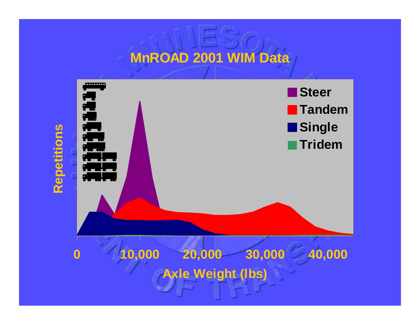## **MnROAD 2001 WIM Data**

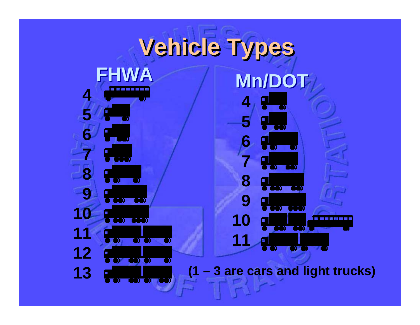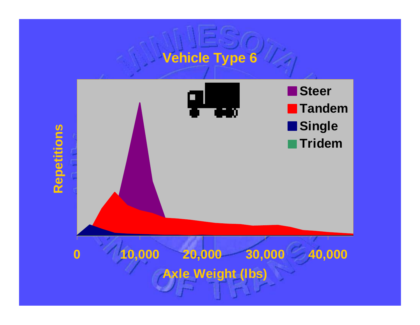## **Vehicle Type 6**

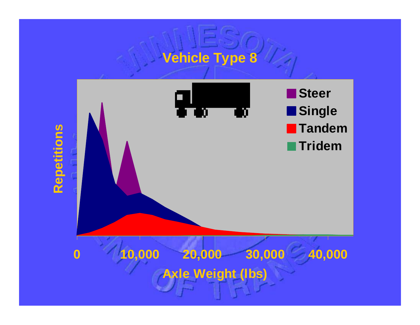# **Vehicle Type 8**

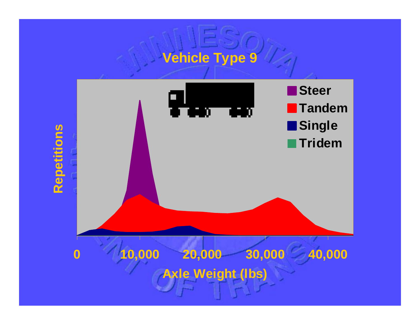# **Vehicle Type 9**

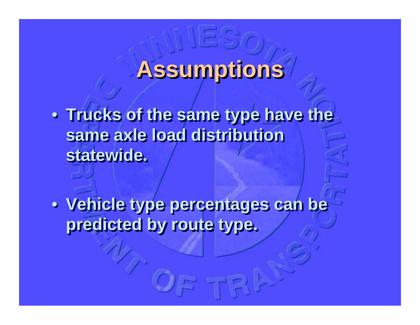## **Assumptions Assumptions Assumptions**

**• Trucks of the same type have the same axle load distribution same axle load distribution same axle load distribution statewide. statewide. statewide.**

• **Vehicle type percentages can be**  • **Vehicle type percentages can be Vehicle type percentages can be predicted by route type. predicted by route type. predicted by route type.**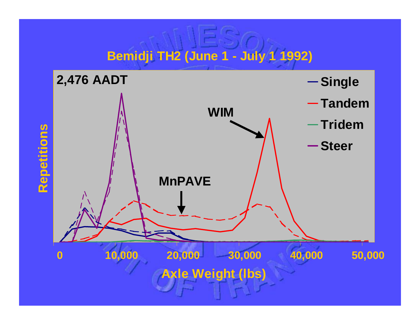### **Bemidji TH2 (June 1 - July 1 1992)**

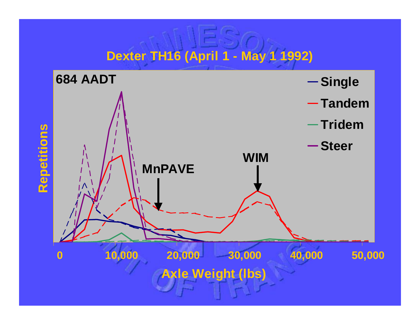#### **Dexter TH16 (April 1 - May 1 1992)**

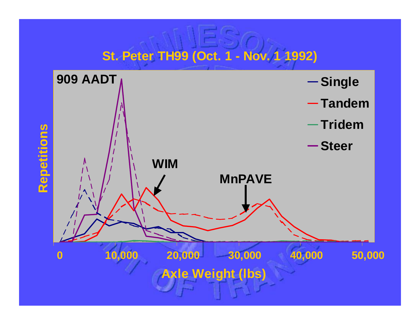#### **St. Peter TH99 (Oct. 1 - Nov. 1 1992)**

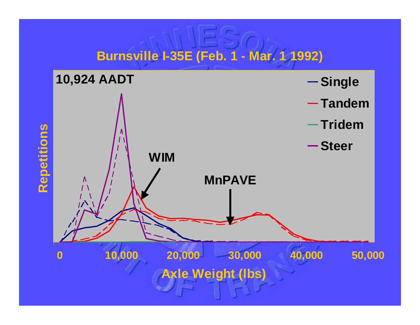#### **Burnsville I-35E (Feb. 1 - Mar. 1 1992)**

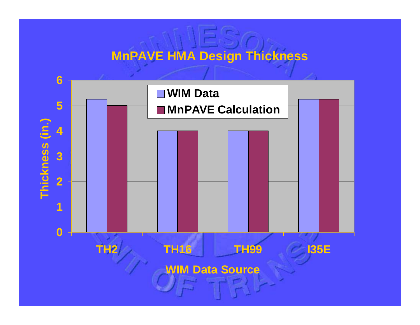#### **MnPAVE HMA Design Thickness**

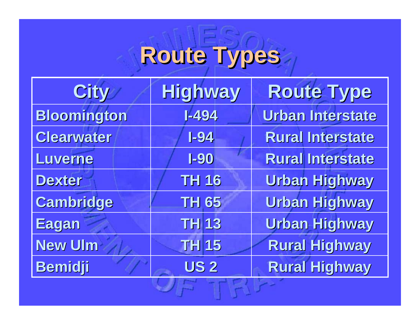# **Route Types Route Types Route Types**

| <b>City</b>        | <b>Highway</b> | <b>Route Type</b>       |
|--------------------|----------------|-------------------------|
| <b>Bloomington</b> | $1 - 494$      | Urban Interstate        |
| Clearwater         | $I-94$         | <b>Rural Interstate</b> |
| Luverne            | $I-90$         | <b>Rural Interstate</b> |
| <b>Dexter</b>      | <b>TH 16</b>   | <b>Urban Highway</b>    |
| Cambridge          | <b>TH 65</b>   | <b>Urban Highway</b>    |
| Eagan              | <b>TH13</b>    | <b>Urban Highway</b>    |
| <b>New Ulm</b>     | <b>TH 15</b>   | <b>Rural Highway</b>    |
| <b>Bemidji</b>     | <b>US2</b>     | <b>Rural Highway</b>    |
|                    |                |                         |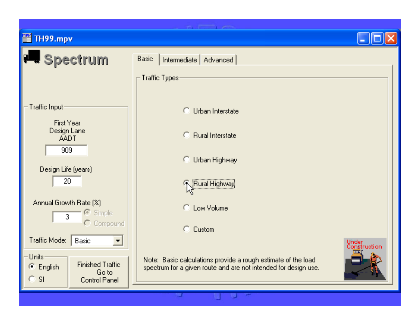**■ TH99.mpv** 





the company's company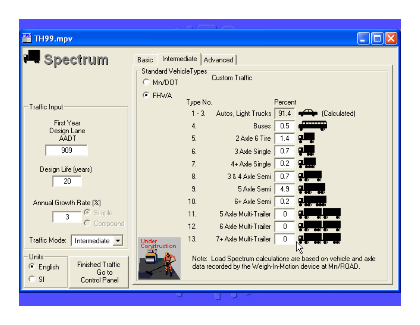#### <u>MPK</u> TH99.mpv





and the property of the con-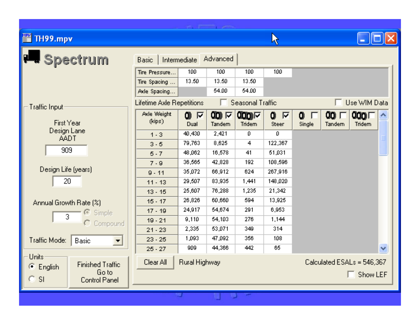#### ■ TH99.mpv



and the property of the con-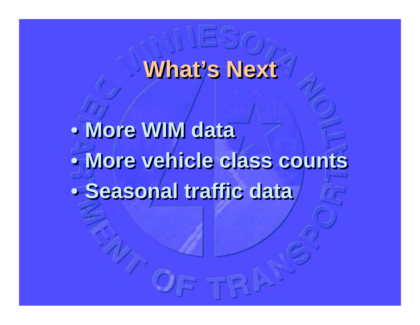## **What's Next What's Next What's Next**

• **More WIM data** • **More vehicle class counts**•• **Seasonal traffic data** • $\bullet$  **More WIM data More WIM data More vehicle class counts More vehicle class counts Seasonal traffic data Seasonal traffic data**